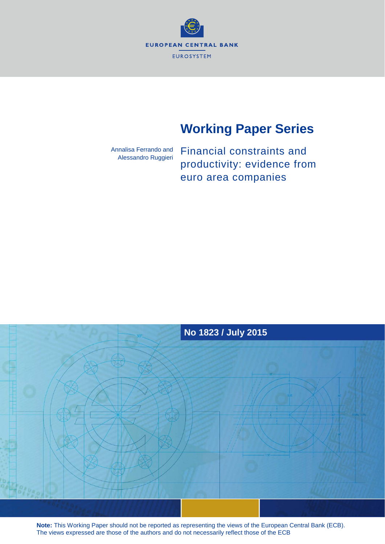

# **Working Paper Series**

Annalisa Ferrando and Alessandro Ruggieri Financial constraints and productivity: evidence from euro area companies



**Note:** This Working Paper should not be reported as representing the views of the European Central Bank (ECB). The views expressed are those of the authors and do not necessarily reflect those of the ECB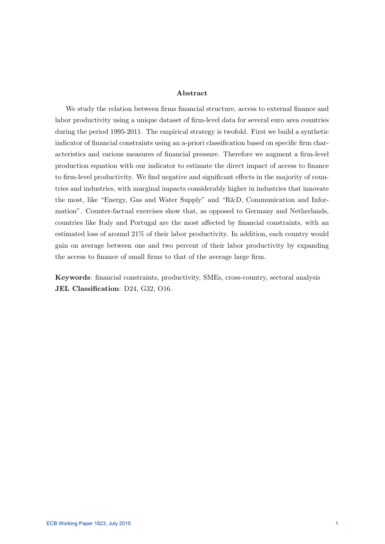### Abstract

We study the relation between firms financial structure, access to external finance and labor productivity using a unique dataset of firm-level data for several euro area countries during the period 1995-2011. The empirical strategy is twofold. First we build a synthetic indicator of financial constraints using an a-priori classification based on specific firm characteristics and various measures of financial pressure. Therefore we augment a firm-level production equation with our indicator to estimate the direct impact of access to finance to firm-level productivity. We find negative and significant effects in the majority of countries and industries, with marginal impacts considerably higher in industries that innovate the most, like "Energy, Gas and Water Supply" and "R&D, Communication and Information". Counter-factual exercises show that, as opposed to Germany and Netherlands, countries like Italy and Portugal are the most affected by financial constraints, with an estimated loss of around 21% of their labor productivity. In addition, each country would gain on average between one and two percent of their labor productivity by expanding the access to finance of small firms to that of the average large firm.

Keywords: financial constraints, productivity, SMEs, cross-country, sectoral analysis JEL Classification: D24, G32, O16.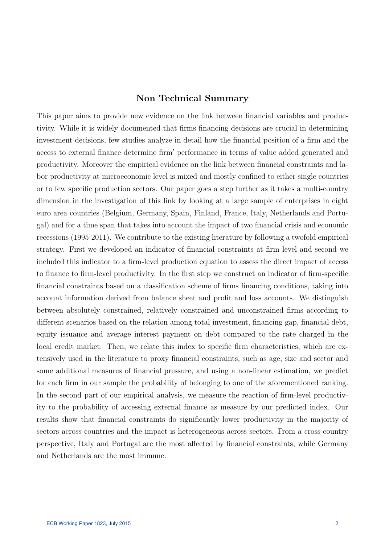### Non Technical Summary

This paper aims to provide new evidence on the link between financial variables and productivity. While it is widely documented that firms financing decisions are crucial in determining investment decisions, few studies analyze in detail how the financial position of a firm and the access to external finance determine firm' performance in terms of value added generated and productivity. Moreover the empirical evidence on the link between financial constraints and labor productivity at microeconomic level is mixed and mostly confined to either single countries or to few specific production sectors. Our paper goes a step further as it takes a multi-country dimension in the investigation of this link by looking at a large sample of enterprises in eight euro area countries (Belgium, Germany, Spain, Finland, France, Italy, Netherlands and Portugal) and for a time span that takes into account the impact of two financial crisis and economic recessions (1995-2011). We contribute to the existing literature by following a twofold empirical strategy. First we developed an indicator of financial constraints at firm level and second we included this indicator to a firm-level production equation to assess the direct impact of access to finance to firm-level productivity. In the first step we construct an indicator of firm-specific financial constraints based on a classification scheme of firms financing conditions, taking into account information derived from balance sheet and profit and loss accounts. We distinguish between absolutely constrained, relatively constrained and unconstrained firms according to different scenarios based on the relation among total investment, financing gap, financial debt, equity issuance and average interest payment on debt compared to the rate charged in the local credit market. Then, we relate this index to specific firm characteristics, which are extensively used in the literature to proxy financial constraints, such as age, size and sector and some additional measures of financial pressure, and using a non-linear estimation, we predict for each firm in our sample the probability of belonging to one of the aforementioned ranking. In the second part of our empirical analysis, we measure the reaction of firm-level productivity to the probability of accessing external finance as measure by our predicted index. Our results show that financial constraints do significantly lower productivity in the majority of sectors across countries and the impact is heterogeneous across sectors. From a cross-country perspective, Italy and Portugal are the most affected by financial constraints, while Germany and Netherlands are the most immune.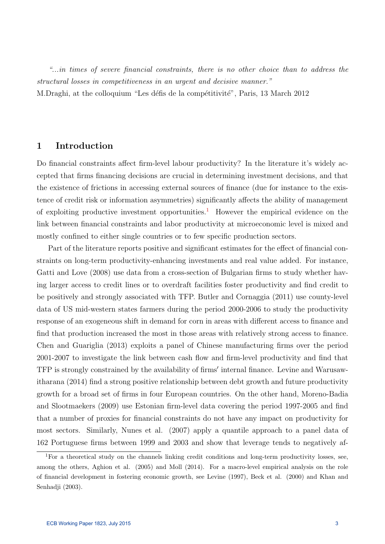"...in times of severe financial constraints, there is no other choice than to address the structural losses in competitiveness in an urgent and decisive manner." M.Draghi, at the colloquium "Les défis de la compétitivité", Paris, 13 March 2012

### 1 Introduction

Do financial constraints affect firm-level labour productivity? In the literature it's widely accepted that firms financing decisions are crucial in determining investment decisions, and that the existence of frictions in accessing external sources of finance (due for instance to the existence of credit risk or information asymmetries) significantly affects the ability of management of exploiting productive investment opportunities.<sup>[1](#page-3-0)</sup> However the empirical evidence on the link between financial constraints and labor productivity at microeconomic level is mixed and mostly confined to either single countries or to few specific production sectors.

Part of the literature reports positive and significant estimates for the effect of financial constraints on long-term productivity-enhancing investments and real value added. For instance, Gatti and Love (2008) use data from a cross-section of Bulgarian firms to study whether having larger access to credit lines or to overdraft facilities foster productivity and find credit to be positively and strongly associated with TFP. Butler and Cornaggia (2011) use county-level data of US mid-western states farmers during the period 2000-2006 to study the productivity response of an exogeneous shift in demand for corn in areas with different access to finance and find that production increased the most in those areas with relatively strong access to finance. Chen and Guariglia (2013) exploits a panel of Chinese manufacturing firms over the period 2001-2007 to investigate the link between cash flow and firm-level productivity and find that TFP is strongly constrained by the availability of firms' internal finance. Levine and Warusawitharana (2014) find a strong positive relationship between debt growth and future productivity growth for a broad set of firms in four European countries. On the other hand, Moreno-Badia and Slootmaekers (2009) use Estonian firm-level data covering the period 1997-2005 and find that a number of proxies for financial constraints do not have any impact on productivity for most sectors. Similarly, Nunes et al. (2007) apply a quantile approach to a panel data of 162 Portuguese firms between 1999 and 2003 and show that leverage tends to negatively af-

<span id="page-3-0"></span> $1$ <sup>1</sup>For a theoretical study on the channels linking credit conditions and long-term productivity losses, see, among the others, Aghion et al. (2005) and Moll (2014). For a macro-level empirical analysis on the role of financial development in fostering economic growth, see Levine (1997), Beck et al. (2000) and Khan and Senhadji (2003).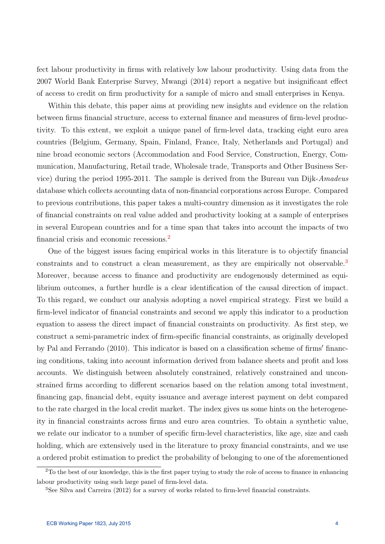fect labour productivity in firms with relatively low labour productivity. Using data from the 2007 World Bank Enterprise Survey, Mwangi (2014) report a negative but insignificant effect of access to credit on firm productivity for a sample of micro and small enterprises in Kenya.

Within this debate, this paper aims at providing new insights and evidence on the relation between firms financial structure, access to external finance and measures of firm-level productivity. To this extent, we exploit a unique panel of firm-level data, tracking eight euro area countries (Belgium, Germany, Spain, Finland, France, Italy, Netherlands and Portugal) and nine broad economic sectors (Accommodation and Food Service, Construction, Energy, Communication, Manufacturing, Retail trade, Wholesale trade, Transports and Other Business Service) during the period 1995-2011. The sample is derived from the Bureau van Dijk-Amadeus database which collects accounting data of non-financial corporations across Europe. Compared to previous contributions, this paper takes a multi-country dimension as it investigates the role of financial constraints on real value added and productivity looking at a sample of enterprises in several European countries and for a time span that takes into account the impacts of two financial crisis and economic recessions.[2](#page-4-0)

One of the biggest issues facing empirical works in this literature is to objectify financial constraints and to construct a clean measurement, as they are empirically not observable.<sup>[3](#page-4-1)</sup> Moreover, because access to finance and productivity are endogenously determined as equilibrium outcomes, a further hurdle is a clear identification of the causal direction of impact. To this regard, we conduct our analysis adopting a novel empirical strategy. First we build a firm-level indicator of financial constraints and second we apply this indicator to a production equation to assess the direct impact of financial constraints on productivity. As first step, we construct a semi-parametric index of firm-specific financial constraints, as originally developed by Pal and Ferrando  $(2010)$ . This indicator is based on a classification scheme of firms' financing conditions, taking into account information derived from balance sheets and profit and loss accounts. We distinguish between absolutely constrained, relatively constrained and unconstrained firms according to different scenarios based on the relation among total investment, financing gap, financial debt, equity issuance and average interest payment on debt compared to the rate charged in the local credit market. The index gives us some hints on the heterogeneity in financial constraints across firms and euro area countries. To obtain a synthetic value, we relate our indicator to a number of specific firm-level characteristics, like age, size and cash holding, which are extensively used in the literature to proxy financial constraints, and we use a ordered probit estimation to predict the probability of belonging to one of the aforementioned

<span id="page-4-0"></span><sup>&</sup>lt;sup>2</sup>To the best of our knowledge, this is the first paper trying to study the role of access to finance in enhancing labour productivity using such large panel of firm-level data.

<span id="page-4-1"></span><sup>3</sup>See Silva and Carreira (2012) for a survey of works related to firm-level financial constraints.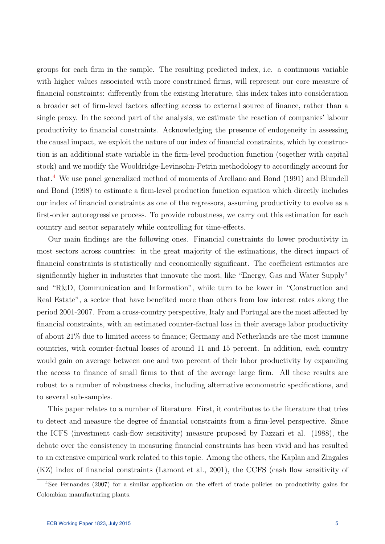groups for each firm in the sample. The resulting predicted index, i.e. a continuous variable with higher values associated with more constrained firms, will represent our core measure of financial constraints: differently from the existing literature, this index takes into consideration a broader set of firm-level factors affecting access to external source of finance, rather than a single proxy. In the second part of the analysis, we estimate the reaction of companies' labour productivity to financial constraints. Acknowledging the presence of endogeneity in assessing the causal impact, we exploit the nature of our index of financial constraints, which by construction is an additional state variable in the firm-level production function (together with capital stock) and we modify the Wooldridge-Levinsohn-Petrin methodology to accordingly account for that.[4](#page-5-0) We use panel generalized method of moments of Arellano and Bond (1991) and Blundell and Bond (1998) to estimate a firm-level production function equation which directly includes our index of financial constraints as one of the regressors, assuming productivity to evolve as a first-order autoregressive process. To provide robustness, we carry out this estimation for each country and sector separately while controlling for time-effects.

Our main findings are the following ones. Financial constraints do lower productivity in most sectors across countries: in the great majority of the estimations, the direct impact of financial constraints is statistically and economically significant. The coefficient estimates are significantly higher in industries that innovate the most, like "Energy, Gas and Water Supply" and "R&D, Communication and Information", while turn to be lower in "Construction and Real Estate", a sector that have benefited more than others from low interest rates along the period 2001-2007. From a cross-country perspective, Italy and Portugal are the most affected by financial constraints, with an estimated counter-factual loss in their average labor productivity of about 21% due to limited access to finance; Germany and Netherlands are the most immune countries, with counter-factual losses of around 11 and 15 percent. In addition, each country would gain on average between one and two percent of their labor productivity by expanding the access to finance of small firms to that of the average large firm. All these results are robust to a number of robustness checks, including alternative econometric specifications, and to several sub-samples.

This paper relates to a number of literature. First, it contributes to the literature that tries to detect and measure the degree of financial constraints from a firm-level perspective. Since the ICFS (investment cash-flow sensitivity) measure proposed by Fazzari et al. (1988), the debate over the consistency in measuring financial constraints has been vivid and has resulted to an extensive empirical work related to this topic. Among the others, the Kaplan and Zingales (KZ) index of financial constraints (Lamont et al., 2001), the CCFS (cash flow sensitivity of

<span id="page-5-0"></span><sup>4</sup>See Fernandes (2007) for a similar application on the effect of trade policies on productivity gains for Colombian manufacturing plants.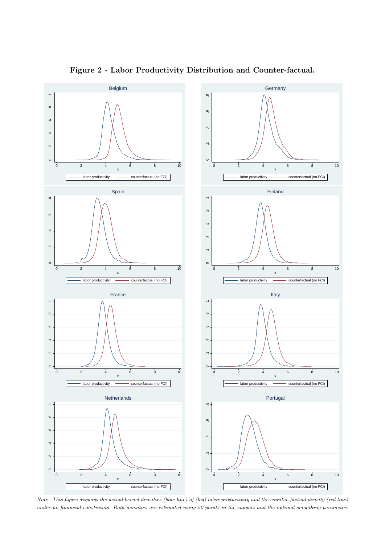fect labour roductivity in r s it relatively lo labour roductivity. sing data fro t  $\epsilon$  $\overline{2}$ angi 2 1 re ort a negative but insignicant eect orld an nter rise urvey of access to credit on r roductivity for a sa le of icro and s all enter rises in enya.

it in t is debate t is a er ai s at roviding ne insig ts and evidence on t e relation bet een r s nancial structure access to e ternal nance and easures of r -level roduce e loit a uni ue anel of r -level data trac ing eig t euro area tivity. o t is e tent countries elgiu er any ain Finland France taly et erlands and Portugal and odation and Food ervice Construction nergy Co nine broad econo ic sectors cco olesale trade rans orts and t er usiness erunication anufacturing etail trade le is derived fro t e ureau van Di - madeus vice during t e eriod 1  $-2$  11. e sa ic collects accounting data of non-nancial cor orations across uro e. Co database ared to revious contributions t is a er ta es a ulti-country di ension as it investigates t e rol of nancial constraints on real value added and roductivity loo ing at a sa le of enter rises in several uro ean countries and for a ti e s and t at ta es into account t e i acts of t nancial crisis and econo ic recessions.

ne of t e biggest issues facing e irical or s in t is literature is to obectify nancial constraints and to construct a clean easure ent as t ey are e irically not observable. oreover because access to nance and roductivity are endogenously deter ined as e uioutco es a furt er urdle is a clear identication of t e causal direction of i libriu act. o t is regard e conduct our analysis ado ting a novel e irical strategy. First e build a r -level indicator of nancial constraints and second e a ly t is indicator to a roduction e uation to assess t e direct i act of nancial constraints on roductivity. s rst ste  $\mathbf{e}$ 

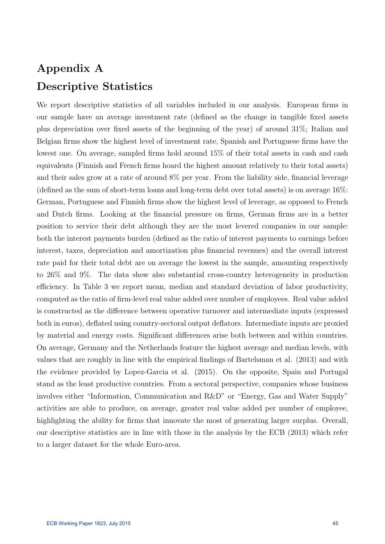# Appendix A Descriptive Statistics

We report descriptive statistics of all variables included in our analysis. European firms in our sample have an average investment rate (defined as the change in tangible fixed assets plus depreciation over fixed assets of the beginning of the year) of around 31%; Italian and Belgian firms show the highest level of investment rate, Spanish and Portuguese firms have the lowest one. On average, sampled firms hold around 15% of their total assets in cash and cash equivalents (Finnish and French firms hoard the highest amount relatively to their total assets) and their sales grow at a rate of around 8% per year. From the liability side, financial leverage (defined as the sum of short-term loans and long-term debt over total assets) is on average 16%: German, Portuguese and Finnish firms show the highest level of leverage, as opposed to French and Dutch firms. Looking at the financial pressure on firms, German firms are in a better position to service their debt although they are the most levered companies in our sample: both the interest payments burden (defined as the ratio of interest payments to earnings before interest, taxes, depreciation and amortization plus financial revenues) and the overall interest rate paid for their total debt are on average the lowest in the sample, amounting respectively to 26% and 9%. The data show also substantial cross-country heterogeneity in production efficiency. In Table 3 we report mean, median and standard deviation of labor productivity, computed as the ratio of firm-level real value added over number of employees. Real value added is constructed as the difference between operative turnover and intermediate inputs (expressed both in euros), deflated using country-sectoral output deflators. Intermediate inputs are proxied by material and energy costs. Significant differences arise both between and within countries. On average, Germany and the Netherlands feature the highest average and median levels, with values that are roughly in line with the empirical findings of Bartelsman et al. (2013) and with the evidence provided by Lopez-Garcia et al. (2015). On the opposite, Spain and Portugal stand as the least productive countries. From a sectoral perspective, companies whose business involves either "Information, Communication and R&D" or "Energy, Gas and Water Supply" activities are able to produce, on average, greater real value added per number of employee, highlighting the ability for firms that innovate the most of generating larger surplus. Overall, our descriptive statistics are in line with those in the analysis by the ECB (2013) which refer to a larger dataset for the whole Euro-area.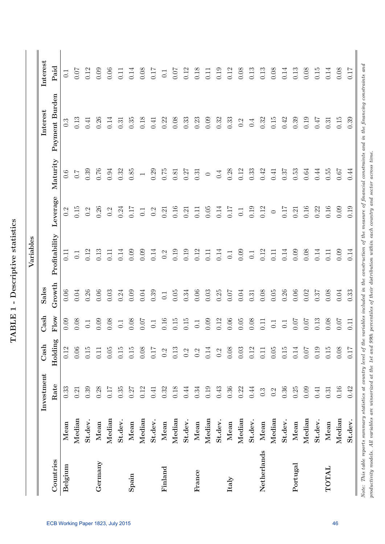| i<br>í<br>֧֧֧֚֓֓֝֬֓֓׆֬<br>I<br>I<br>I<br>ľ<br>$\frac{1}{2}$ | ;<br>ŗ |
|-------------------------------------------------------------|--------|
|                                                             |        |
|                                                             |        |
|                                                             |        |
|                                                             |        |
|                                                             | ŕ      |

|             |         | Investment       | $\mathrm{Cas}\mathbf{h}$ | Cash         | Sales    |                   |          |                | Interest         | Interest |
|-------------|---------|------------------|--------------------------|--------------|----------|-------------------|----------|----------------|------------------|----------|
| Countries   |         | Rate             | Holding                  | ${\rm Flow}$ | Growth   | Profitability     | Leverage | Maturity       | Payment Burden   | Paid     |
| Belgium     | Mean    | 0.33             | 0.12                     | 0.09         | 0.06     | $\overline{0.11}$ | 0.2      | 0.6            | $0.\overline{3}$ | 0.1      |
|             | Median  | 0.21             | 0.06                     | 0.08         | 0.04     | 0.1               | 0.15     | $\overline{C}$ | 0.13             | 0.07     |
|             | St.dev. | 0.39             | $0.15\,$                 | $0.1\,$      | 0.26     | 0.12              | 0.2      | 0.39           | 0.41             | 0.12     |
| Germany     | Mean    | 0.28             | 0.11                     | 0.09         | 0.06     | 0.13              | 0.26     | 0.76           | 0.26             | 0.09     |
|             | Median  | 0.17             | 0.05                     | 0.08         | 0.03     | 0.11              | 0.2      | 0.94           | 0.14             | 0.06     |
|             | St.dev. | 0.35             | 0.15                     | $0.1\,$      | 0.24     | 0.14              | 0.24     | 0.32           | 0.31             | 0.11     |
| Spain       | Mean    | 0.27             | 0.15                     | 0.08         | 0.09     | 0.09              | 0.17     | 0.85           | 0.35             | 0.14     |
|             | Median  | 0.12             | $0.08\,$                 | 0.07         | 0.04     | 0.09              | 0.1      |                | 0.18             | 0.08     |
|             | St.dev. | 0.41             | 0.17                     | 0.1          | 0.39     | 0.14              | 0.2      | 0.29           | 0.41             | 0.17     |
| Finland     | Mean    | 0.32             | 0.2                      | 0.16         | 0.1      | $0.\overline{2}$  | 0.21     | $0.75\,$       | 0.22             | $0.1\,$  |
|             | Median  | 0.18             | 0.13                     | 0.15         | 0.05     | 0.19              | 0.16     | 0.81           | $0.08\,$         | 0.07     |
|             | St.dev. | 0.44             | 0.2                      | 0.15         | 0.34     | 0.19              | 0.21     | 0.27           | 0.33             | 0.12     |
| France      | Mean    | 0.34             | 0.2                      | $0.1\,$      | $0.06\,$ | 0.12              | 0.11     | 0.31           | 0.23             | 0.18     |
|             | Median  | 0.19             | 0.14                     | 0.09         | 0.03     | 0.11              | 0.05     | $\bigcirc$     | 0.09             | 0.11     |
|             | St.dev. | 0.43             | 0.2                      | 0.12         | 0.25     | 0.14              | 0.14     | 0.4            | 0.32             | 0.19     |
| Italy       | Mean    | 0.36             | 0.08                     | 0.06         | 0.07     | 0.1               | 0.17     | 0.28           | 0.33             | 0.12     |
|             | Median  | 0.22             | 0.03                     | 0.05         | 0.04     | 0.09              | $0.1\,$  | $\!0.12\!$     | 0.2              | $0.08\,$ |
|             | St.dev. | 0.44             | 0.12                     | 0.08         | $\!0.31$ | $0.1\,$           | 0.19     | $0.33\,$       | 0.4              | 0.13     |
| Netherlands | Mean    | $0.\overline{3}$ | 0.11                     | 0.11         | 0.08     | 0.12              | 0.12     | 0.42           | 0.32             | $\!0.13$ |
|             | Median  | 0.2              | $0.05\,$                 | 0.1          | 0.05     | 0.11              | $\circ$  | 0.41           | 0.15             | $0.08\,$ |
|             | St.dev. | 0.36             | 0.15                     | 0.1          | 0.26     | 0.14              | 0.17     | 0.37           | 0.42             | 0.14     |
| Portugal    | $Mean$  | 0.25             | 0.14                     | 0.07         | 0.06     | 0.09              | 0.21     | 0.53           | 0.39             | $\!0.13$ |
|             | Median  | 0.09             | 0.07                     | 0.07         | 0.02     | 0.08              | $0.16\,$ | $0.64\,$       | 0.19             | $0.08\,$ |
|             | St.dev. | 0.41             | 0.19                     | 0.13         | 0.37     | $0.14\,$          | 0.22     | 0.44           | 747              | $0.15\,$ |
| TOTAL       | Mean    | 0.31             | 0.15                     | 0.08         | 0.08     | 0.11              | $0.16\,$ | 0.55           | 0.31             | $0.14\,$ |
|             | Median  | 0.16             | $0.08\,$                 | $0.07$       | 0.04     | 0.09              | 0.09     | 0.67           | $0.15\,$         | $0.08\,$ |
|             | St.dev. | 0.42             | 0.17                     | 0.11         | 0.33     | 0.14              | 0.19     | 0.44           | 0.39             | 0.17     |

rvote. This wave reports summing sumismes at country level of the curialities of their distribution within each country and sector across time.<br>productivity models. All variables are winsorized at the 1st and 99th percenti productivity models. All variables are winsorized at the 1st and 99th percentiles of their distribution within each country and sector across time.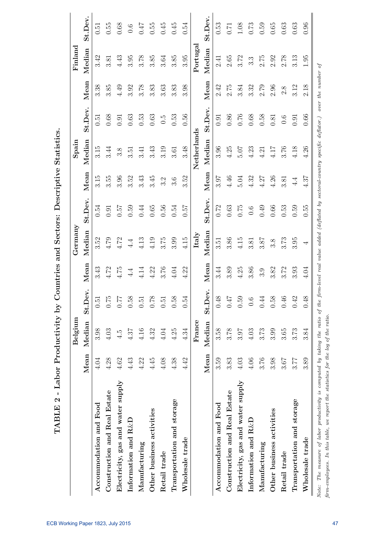|                                   |        | Belgium |                        |          | Germany  |              |         | Spain       |             |      | Finland          |          |
|-----------------------------------|--------|---------|------------------------|----------|----------|--------------|---------|-------------|-------------|------|------------------|----------|
|                                   | Mean   | Median  | lev.<br>St.D           | Mean     | Median   | St.Dev.      | Mean    | Median      | St.Dev.     | Mean | Median           | St.Dev.  |
| Accommodation and Food            | 4.04   | 3.98    | 0.51                   | 3.43     | 3.52     | $0.54\,$     | 3.15    | 3.15        | 0.51        | 3.38 | 3.42             | 0.51     |
| Construction and Real Estate      | 4.28   | 4.03    | ŗ٥<br>$\overline{C}$   | 4.72     | 4.79     | 0.91         | 3.55    | 3.44        | 0.68        | 3.85 | 3.81             | 0.55     |
| Electricity, gas and water supply | $4.62$ | 4.5     | 0.77                   | $4.75$   | 4.72     | 0.57         | 3.96    | 3.8         | 0.91        | 4.49 | 4.43             | $0.68\,$ |
| Information and $R\&D$            | 4.43   | 4.37    | $\infty$<br>$\ddot{0}$ | $4.4\,$  | $4.4\,$  | 0.59         | 3.52    | 3.51        | $0.63\,$    | 3.92 | 3.95             | $0.6\,$  |
| Manufacturing                     | 4.22   | 4.16    | 0.51                   | 4.14     | 4.13     | 0.44         | 3.43    | 3.41        | 0.53        | 3.78 | 3.78             | 77.0     |
| Other business activities         | 4.45   | 4.32    | $\infty$<br>1.0        | 4.22     | 4.19     | $0.65\,$     | 3.45    | 3.43        | 0.63        | 3.83 | 3.85             | $0.55\,$ |
| Retail trade                      | 4.08   | 4.04    | $\tilde{c}$            | 3.76     | 3.75     | 0.56         | 3.2     | 3.19        | $\tilde{c}$ | 3.63 | 3.64             | 0.45     |
| Transportation and storage        | 4.38   | 4.25    | ∞<br>$\tilde{c}$       | $4.04\,$ | 3.99     | 0.54         | 3.6     | 3.61        | 0.53        | 3.83 | 3.85             | 0.45     |
| Wholesale trade                   | 4.42   | 4.34    | 0.54                   | 4.22     | 4.15     | $\sqrt{250}$ | 3.52    | 3.48        | 0.56        | 3.98 | 3.95             | 0.54     |
|                                   |        | France  |                        |          | Italy    |              |         | Netherlands |             |      | Portugal         |          |
|                                   | Mean   | Median  | lev.<br>St.D           | Mean     | Median   | St.Dev.      | Mean    | Median      | St.Dev.     | Mean | Median           | St.Dev.  |
| Accommodation and Food            | 3.59   | 3.58    | $0.48\,$               | 3.44     | $3.51\,$ | 0.72         | 3.97    | 3.96        | 0.91        | 2.42 | 2.41             | 0.53     |
| Construction and Real Estate      | 3.83   | 3.78    | $7\bar{r}$ 0           | 3.89     | 3.86     | $\!0.63\!$   | 4.46    | 4.25        | $0.86\,$    | 2.75 | $2.65\,$         | 0.71     |
| Electricity, gas and water supply | 4.03   | 3.97    | 0.59                   | 4.25     | 4.15     | 0.75         | 5.04    | 5.07        | 0.76        | 3.84 | 3.72             | $1.08\,$ |
| Information and $R\&D$            | 4.06   | 4.03    | 0.6                    | 3.86     | 3.81     | $0.6\,$      | 4.32    | 4.23        | $0.68\,$    | 3.32 | $3.\overline{3}$ | $0.73\,$ |
| Manufacturing                     | 3.76   | 3.73    | 0.44                   | 3.9      | 3.87     | 0.49         | 4.27    | 4.21        | 0.58        | 2.79 | 2.75             | 0.59     |
| Other business activities         | 3.98   | 3.99    | $\infty$<br>$\ddot{0}$ | 3.82     | 3.8      | 0.66         | 4.26    | 4.17        | $0.81\,$    | 2.96 | 2.92             | $0.65\,$ |
| Retail trade                      | 3.67   | 3.65    | 0.46                   | 3.72     | 3.73     | 0.53         | 3.81    | 3.76        | $0.6\,$     | 2.8  | 2.78             | $\,0.63$ |
| Transportation and storage        | 3.77   | 3.73    | 0.42                   | 3.93     | 3.95     | 0.59         | $4.4\,$ | 4.18        | 0.91        | 3.12 | 3.13             | 0.63     |
| Wholesale trade                   | 3.89   | 3.84    | œ<br>0.4               | 4.04     | 4        | 0.55         | 4.37    | 4.26        | 0.66        | 2.18 | $1.95\,$         | 0.96     |

TABLE 2 - Labor Productivity by Countries and Sectors: Descriptive Statistics. TABLE 2 - Labor Productivity by Countries and Sectors: Descriptive Statistics.

firm-employees. In this table, we report the statistics for the log of the ratio.

firm-employees. In this table, we report the statistics for the log of the ratio.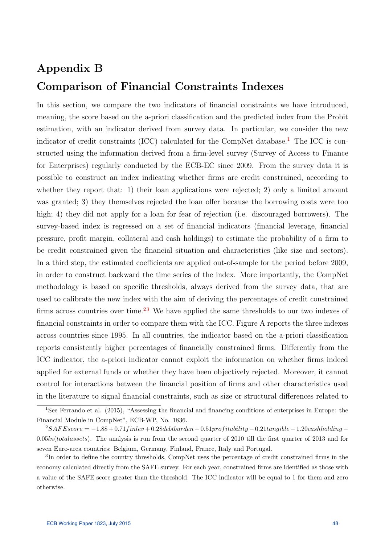## Appendix B Comparison of Financial Constraints Indexes

In this section, we compare the two indicators of financial constraints we have introduced, meaning, the score based on the a-priori classification and the predicted index from the Probit estimation, with an indicator derived from survey data. In particular, we consider the new indicator of credit constraints (ICC) calculated for the CompNet database.<sup>[1](#page-48-0)</sup> The ICC is constructed using the information derived from a firm-level survey (Survey of Access to Finance for Enterprises) regularly conducted by the ECB-EC since 2009. From the survey data it is possible to construct an index indicating whether firms are credit constrained, according to whether they report that: 1) their loan applications were rejected; 2) only a limited amount was granted; 3) they themselves rejected the loan offer because the borrowing costs were too high; 4) they did not apply for a loan for fear of rejection (i.e. discouraged borrowers). The survey-based index is regressed on a set of financial indicators (financial leverage, financial pressure, profit margin, collateral and cash holdings) to estimate the probability of a firm to be credit constrained given the financial situation and characteristics (like size and sectors). In a third step, the estimated coefficients are applied out-of-sample for the period before 2009, in order to construct backward the time series of the index. More importantly, the CompNet methodology is based on specific thresholds, always derived from the survey data, that are used to calibrate the new index with the aim of deriving the percentages of credit constrained firms across countries over time.<sup>[2](#page-48-1)[3](#page-48-2)</sup> We have applied the same thresholds to our two indexes of financial constraints in order to compare them with the ICC. Figure A reports the three indexes across countries since 1995. In all countries, the indicator based on the a-priori classification reports consistently higher percentages of financially constrained firms. Differently from the ICC indicator, the a-priori indicator cannot exploit the information on whether firms indeed applied for external funds or whether they have been objectively rejected. Moreover, it cannot control for interactions between the financial position of firms and other characteristics used in the literature to signal financial constraints, such as size or structural differences related to

<span id="page-48-0"></span><sup>1</sup>See Ferrando et al. (2015), "Assessing the financial and financing conditions of enterprises in Europe: the Financial Module in CompNet", ECB-WP, No. 1836.

<span id="page-48-1"></span> $2SAFE score = -1.88 + 0.71 finite + 0.28 debt burden - 0.51 profitability - 0.21tangle - 1.20 cashholding 0.05ln(totalasses)$ . The analysis is run from the second quarter of 2010 till the first quarter of 2013 and for seven Euro-area countries: Belgium, Germany, Finland, France, Italy and Portugal.

<span id="page-48-2"></span><sup>&</sup>lt;sup>3</sup>In order to define the country thresholds, CompNet uses the percentage of credit constrained firms in the economy calculated directly from the SAFE survey. For each year, constrained firms are identified as those with a value of the SAFE score greater than the threshold. The ICC indicator will be equal to 1 for them and zero otherwise.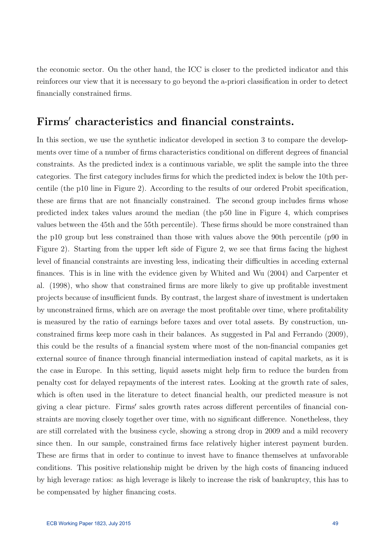the economic sector. On the other hand, the ICC is closer to the predicted indicator and this reinforces our view that it is necessary to go beyond the a-priori classification in order to detect financially constrained firms.

### Firms' characteristics and financial constraints.

In this section, we use the synthetic indicator developed in section 3 to compare the developments over time of a number of firms characteristics conditional on different degrees of financial constraints. As the predicted index is a continuous variable, we split the sample into the three categories. The first category includes firms for which the predicted index is below the 10th percentile (the p10 line in Figure 2). According to the results of our ordered Probit specification, these are firms that are not financially constrained. The second group includes firms whose predicted index takes values around the median (the p50 line in Figure 4, which comprises values between the 45th and the 55th percentile). These firms should be more constrained than the p10 group but less constrained than those with values above the 90th percentile (p90 in Figure 2). Starting from the upper left side of Figure 2, we see that firms facing the highest level of financial constraints are investing less, indicating their difficulties in acceding external finances. This is in line with the evidence given by Whited and Wu (2004) and Carpenter et al. (1998), who show that constrained firms are more likely to give up profitable investment projects because of insufficient funds. By contrast, the largest share of investment is undertaken by unconstrained firms, which are on average the most profitable over time, where profitability is measured by the ratio of earnings before taxes and over total assets. By construction, unconstrained firms keep more cash in their balances. As suggested in Pal and Ferrando (2009), this could be the results of a financial system where most of the non-financial companies get external source of finance through financial intermediation instead of capital markets, as it is the case in Europe. In this setting, liquid assets might help firm to reduce the burden from penalty cost for delayed repayments of the interest rates. Looking at the growth rate of sales, which is often used in the literature to detect financial health, our predicted measure is not giving a clear picture. Firms' sales growth rates across different percentiles of financial constraints are moving closely together over time, with no significant difference. Nonetheless, they are still correlated with the business cycle, showing a strong drop in 2009 and a mild recovery since then. In our sample, constrained firms face relatively higher interest payment burden. These are firms that in order to continue to invest have to finance themselves at unfavorable conditions. This positive relationship might be driven by the high costs of financing induced by high leverage ratios: as high leverage is likely to increase the risk of bankruptcy, this has to be compensated by higher financing costs.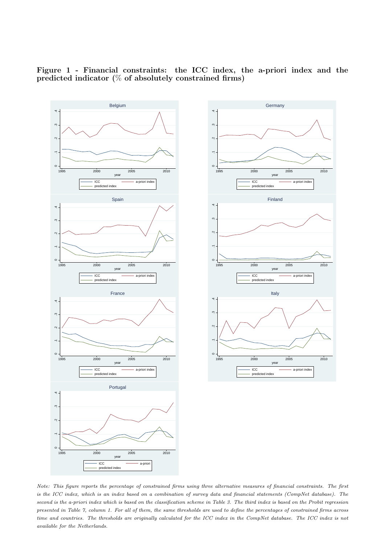



 $\circ$ 

 $\circ$ 

 $\circ$ 

1995 2000 2005 2010

1995 2000 2005 2010

1995 2000 2005 2010

predicted index

predicted index **by a straightful control of the straight of the straight of the straight of the straight of the straight of the straight of the straight of the straight of the straight of the straight of the straight of t** 

predicted index

ICC a-priori index | a-priori index | a-priori index | a-priori index | a-priori index | a-priori index | a-priori index | a-priori index | a-priori index | a-priori index | a-priori index | a-priori index | a-priori index

Finland

ICC and the extension of a-priori index  $\vert$ 

Italy **International Community Community** 

ICC a-priori index |

year and the control of the control of the control of the control of the control of the control of the control of the control of the control of the control of the control of the control of the control of the control of the

.1 .2 .3 .4

year and the contract of the contract of the contract of the contract of the contract of the contract of the contract of the contract of the contract of the contract of the contract of the contract of the contract of the c

.1 .2 .3 .4

year and the control of the control of the control of the control of the control of the control of the control of the control of the control of the control of the control of the control of the control of the control of the

Figure 1 - Financial constraints: the ICC index, the a-priori index and the predicted indicator (% of absolutely constrained firms)

Note: This figure reports the percentage of constrained firms using three alternative measures of financial constraints. The first is the ICC index, which is an index based on a combination of survey data and financial statements (CompNet database). The second is the a-priori index which is based on the classification scheme in Table 3. The third index is based on the Probit regression presented in Table 7, column 1. For all of them, the same thresholds are used to define the percentages of constrained firms across time and countries. The thresholds are originally calculated for the ICC index in the CompNet database. The ICC index is not<br>FGB Working Paper 1823, July 2015  $available$  for the Netherlands. July 2015  $50$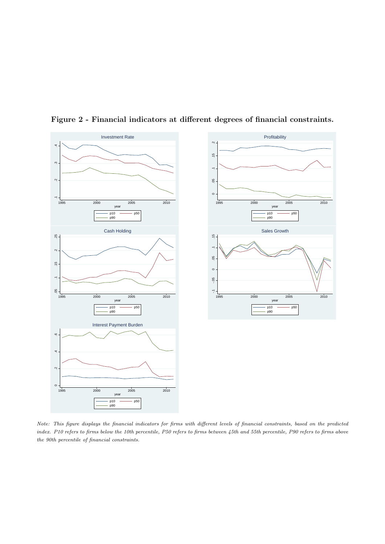

Figure 2 - Financial indicators at different degrees of financial constraints.

Note: This figure displays the financial indicators for firms with different levels of financial constraints, based on the predicted index. P10 refers to firms below the 10th percentile, P50 refers to firms between 45th and 55th percentile, P90 refers to firms above the 90th percentile of financial constraints.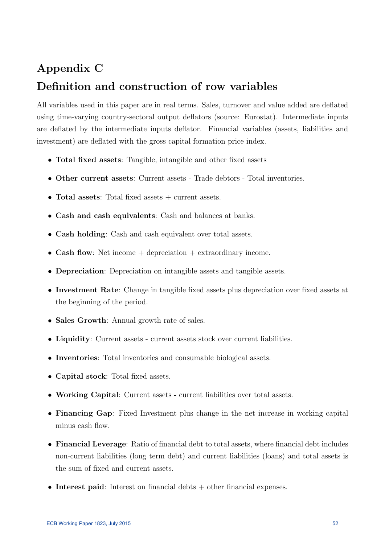## Appendix C

## Definition and construction of row variables

All variables used in this paper are in real terms. Sales, turnover and value added are deflated using time-varying country-sectoral output deflators (source: Eurostat). Intermediate inputs are deflated by the intermediate inputs deflator. Financial variables (assets, liabilities and investment) are deflated with the gross capital formation price index.

- Total fixed assets: Tangible, intangible and other fixed assets
- Other current assets: Current assets Trade debtors Total inventories.
- Total assets: Total fixed assets  $+$  current assets.
- Cash and cash equivalents: Cash and balances at banks.
- Cash holding: Cash and cash equivalent over total assets.
- Cash flow: Net income  $+$  depreciation  $+$  extraordinary income.
- Depreciation: Depreciation on intangible assets and tangible assets.
- Investment Rate: Change in tangible fixed assets plus depreciation over fixed assets at the beginning of the period.
- Sales Growth: Annual growth rate of sales.
- Liquidity: Current assets current assets stock over current liabilities.
- Inventories: Total inventories and consumable biological assets.
- Capital stock: Total fixed assets.
- Working Capital: Current assets current liabilities over total assets.
- Financing Gap: Fixed Investment plus change in the net increase in working capital minus cash flow.
- Financial Leverage: Ratio of financial debt to total assets, where financial debt includes non-current liabilities (long term debt) and current liabilities (loans) and total assets is the sum of fixed and current assets.
- Interest paid: Interest on financial debts + other financial expenses.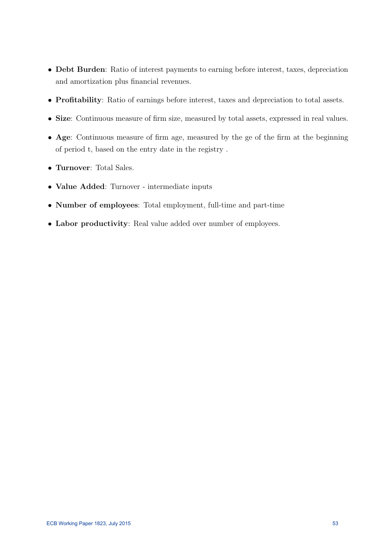- Debt Burden: Ratio of interest payments to earning before interest, taxes, depreciation and amortization plus financial revenues.
- Profitability: Ratio of earnings before interest, taxes and depreciation to total assets.
- Size: Continuous measure of firm size, measured by total assets, expressed in real values.
- Age: Continuous measure of firm age, measured by the ge of the firm at the beginning of period t, based on the entry date in the registry .
- Turnover: Total Sales.
- Value Added: Turnover intermediate inputs
- Number of employees: Total employment, full-time and part-time
- Labor productivity: Real value added over number of employees.